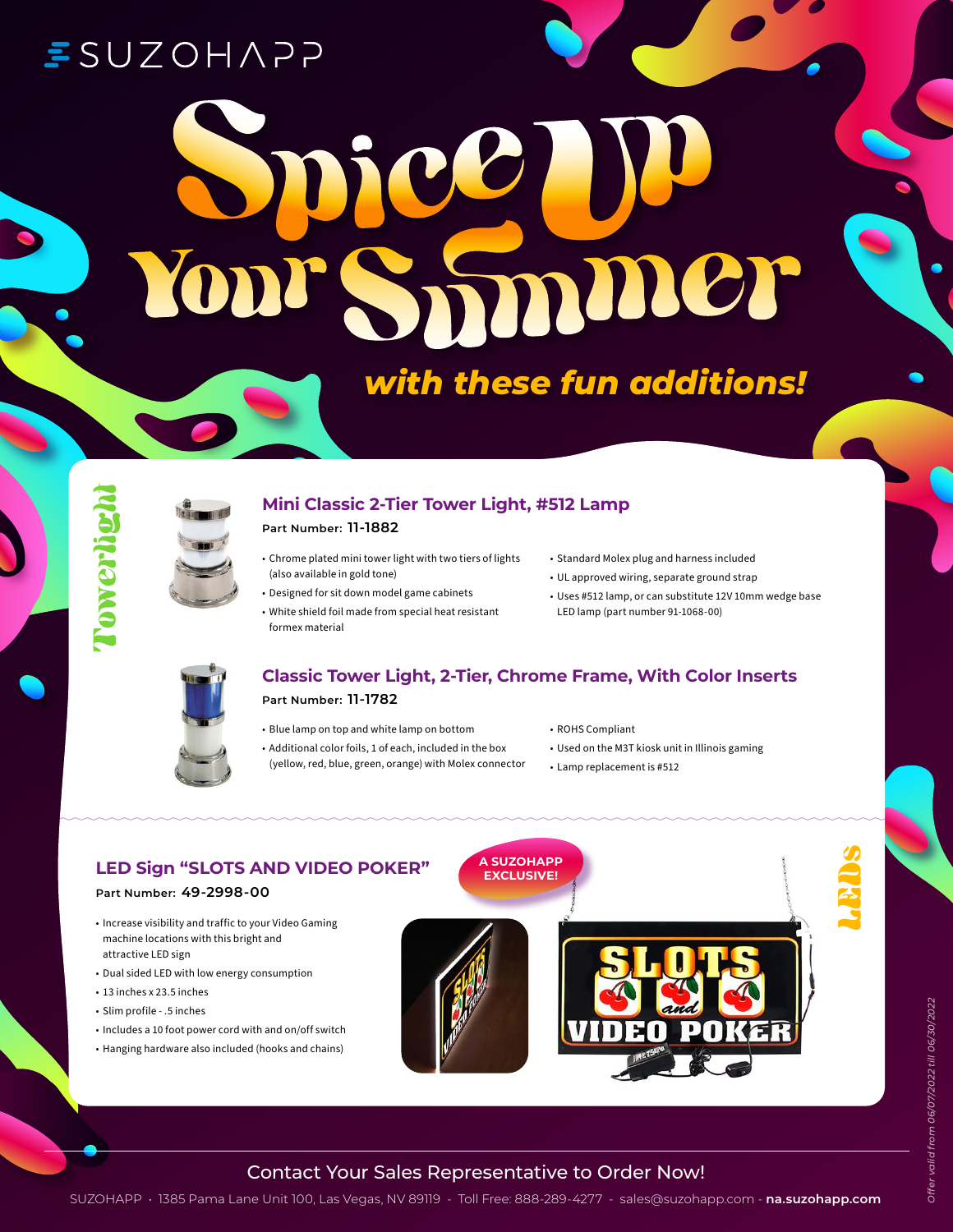# **ESUZOHAPP**

# Smmmer

## *with these fun additions!*





#### **Mini Classic 2-Tier Tower Light, #512 Lamp**

#### **Part Number: 11-1882**

- Chrome plated mini tower light with two tiers of lights (also available in gold tone)
- Designed for sit down model game cabinets
- White shield foil made from special heat resistant
- formex material
- Standard Molex plug and harness included
- UL approved wiring, separate ground strap
- Uses #512 lamp, or can substitute 12V 10mm wedge base LED lamp (part number 91-1068-00)



#### **Classic Tower Light, 2-Tier, Chrome Frame, With Color Inserts**

#### **Part Number: 11-1782**

- Blue lamp on top and white lamp on bottom
- Additional color foils, 1 of each, included in the box (yellow, red, blue, green, orange) with Molex connector
- ROHS Compliant
- Used on the M3T kiosk unit in Illinois gaming
- Lamp replacement is #512



#### Contact Your Sales Representative to Order Now!